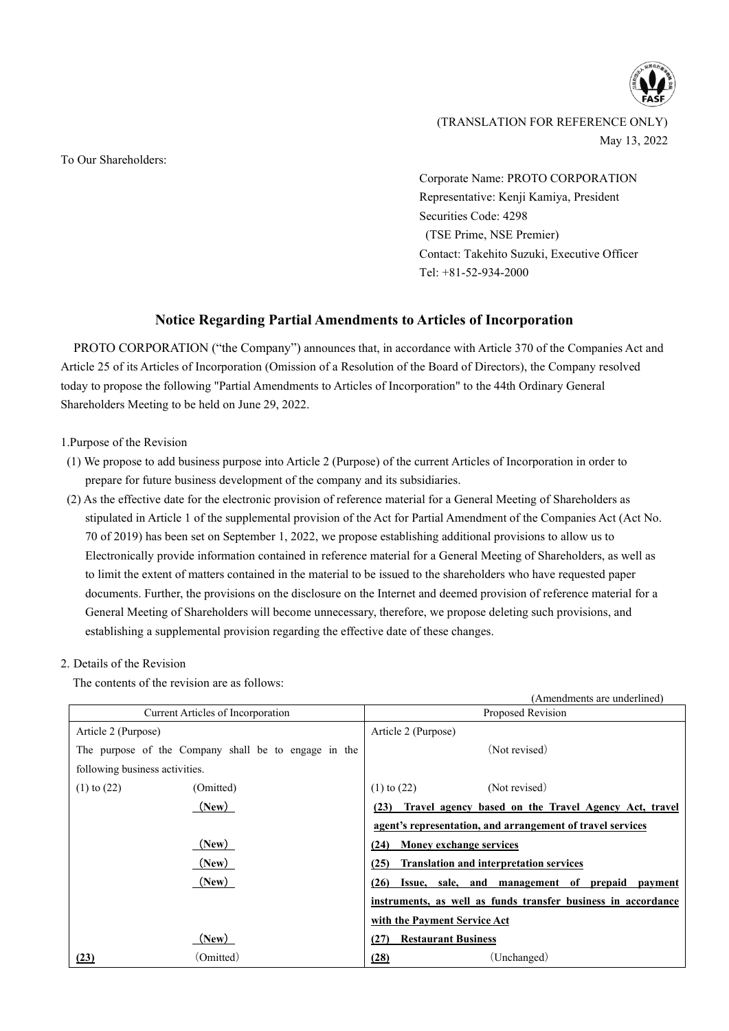

(TRANSLATION FOR REFERENCE ONLY) May 13, 2022

To Our Shareholders:

Corporate Name: PROTO CORPORATION Representative: Kenji Kamiya, President Securities Code: 4298 (TSE Prime, NSE Premier) Contact: Takehito Suzuki, Executive Officer Tel: +81-52-934-2000

## **Notice Regarding Partial Amendments to Articles of Incorporation**

PROTO CORPORATION ("the Company") announces that, in accordance with Article 370 of the Companies Act and Article 25 of its Articles of Incorporation (Omission of a Resolution of the Board of Directors), the Company resolved today to propose the following "Partial Amendments to Articles of Incorporation" to the 44th Ordinary General Shareholders Meeting to be held on June 29, 2022.

1.Purpose of the Revision

- (1) We propose to add business purpose into Article 2 (Purpose) of the current Articles of Incorporation in order to prepare for future business development of the company and its subsidiaries.
- (2) As the effective date for the electronic provision of reference material for a General Meeting of Shareholders as stipulated in Article 1 of the supplemental provision of the Act for Partial Amendment of the Companies Act (Act No. 70 of 2019) has been set on September 1, 2022, we propose establishing additional provisions to allow us to Electronically provide information contained in reference material for a General Meeting of Shareholders, as well as to limit the extent of matters contained in the material to be issued to the shareholders who have requested paper documents. Further, the provisions on the disclosure on the Internet and deemed provision of reference material for a General Meeting of Shareholders will become unnecessary, therefore, we propose deleting such provisions, and establishing a supplemental provision regarding the effective date of these changes.

## 2. Details of the Revision

The contents of the revision are as follows:

|                                                      | (Amendments are underlined)                                   |
|------------------------------------------------------|---------------------------------------------------------------|
| Current Articles of Incorporation                    | Proposed Revision                                             |
| Article 2 (Purpose)                                  | Article 2 (Purpose)                                           |
| The purpose of the Company shall be to engage in the | (Not revised)                                                 |
| following business activities.                       |                                                               |
| $(1)$ to $(22)$<br>(Omitted)                         | (Not revised)<br>$(1)$ to $(22)$                              |
| (New)                                                | (23) Travel agency based on the Travel Agency Act, travel     |
|                                                      | agent's representation, and arrangement of travel services    |
| (New)                                                | Money exchange services<br>(24)                               |
| (New)                                                | <b>Translation and interpretation services</b><br>(25)        |
| (New)                                                | (26) Issue, sale, and management of prepaid payment           |
|                                                      | instruments, as well as funds transfer business in accordance |
|                                                      | with the Payment Service Act                                  |
| (New)                                                | (27)<br><b>Restaurant Business</b>                            |
| (Omitted)<br>(23)                                    | (Unchanged)<br>(28)                                           |